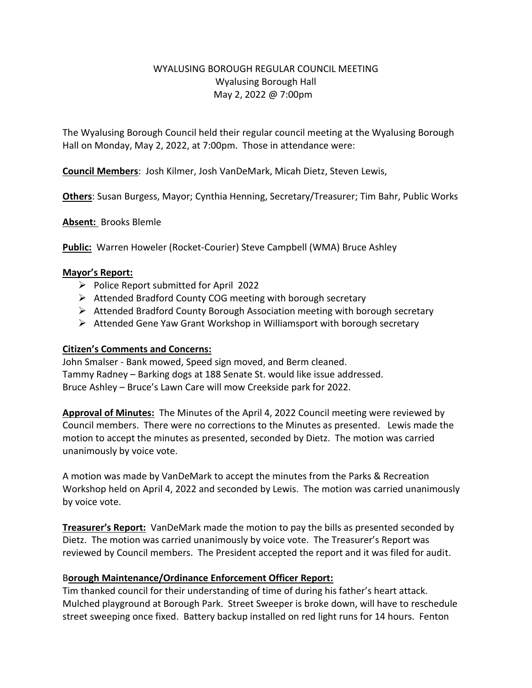# WYALUSING BOROUGH REGULAR COUNCIL MEETING Wyalusing Borough Hall May 2, 2022 @ 7:00pm

The Wyalusing Borough Council held their regular council meeting at the Wyalusing Borough Hall on Monday, May 2, 2022, at 7:00pm. Those in attendance were:

**Council Members**: Josh Kilmer, Josh VanDeMark, Micah Dietz, Steven Lewis,

**Others**: Susan Burgess, Mayor; Cynthia Henning, Secretary/Treasurer; Tim Bahr, Public Works

**Absent:** Brooks Blemle

**Public:** Warren Howeler (Rocket-Courier) Steve Campbell (WMA) Bruce Ashley

#### **Mayor's Report:**

- $\triangleright$  Police Report submitted for April 2022
- $\triangleright$  Attended Bradford County COG meeting with borough secretary
- $\triangleright$  Attended Bradford County Borough Association meeting with borough secretary
- $\triangleright$  Attended Gene Yaw Grant Workshop in Williamsport with borough secretary

### **Citizen's Comments and Concerns:**

John Smalser - Bank mowed, Speed sign moved, and Berm cleaned. Tammy Radney – Barking dogs at 188 Senate St. would like issue addressed. Bruce Ashley – Bruce's Lawn Care will mow Creekside park for 2022.

**Approval of Minutes:** The Minutes of the April 4, 2022 Council meeting were reviewed by Council members. There were no corrections to the Minutes as presented. Lewis made the motion to accept the minutes as presented, seconded by Dietz. The motion was carried unanimously by voice vote.

A motion was made by VanDeMark to accept the minutes from the Parks & Recreation Workshop held on April 4, 2022 and seconded by Lewis. The motion was carried unanimously by voice vote.

**Treasurer's Report:** VanDeMark made the motion to pay the bills as presented seconded by Dietz. The motion was carried unanimously by voice vote. The Treasurer's Report was reviewed by Council members. The President accepted the report and it was filed for audit.

## B**orough Maintenance/Ordinance Enforcement Officer Report:**

Tim thanked council for their understanding of time of during his father's heart attack. Mulched playground at Borough Park. Street Sweeper is broke down, will have to reschedule street sweeping once fixed. Battery backup installed on red light runs for 14 hours. Fenton